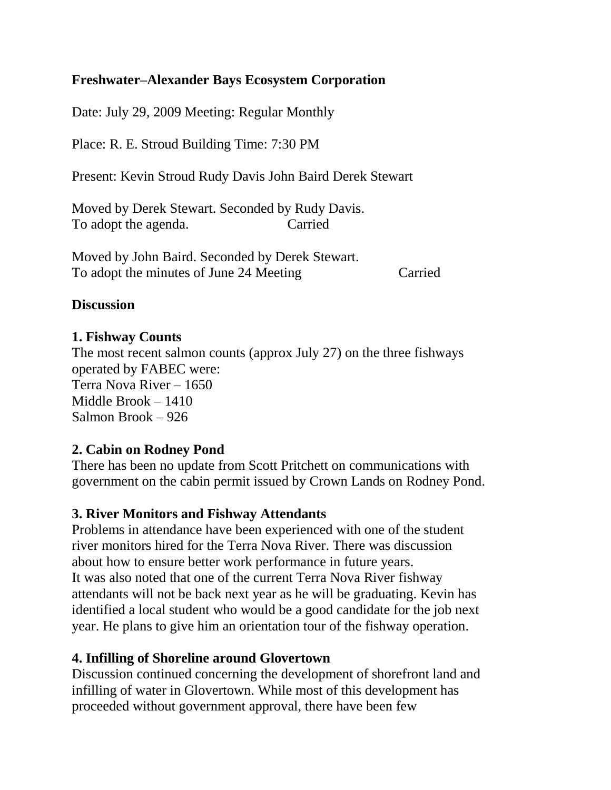## **Freshwater–Alexander Bays Ecosystem Corporation**

Date: July 29, 2009 Meeting: Regular Monthly

Place: R. E. Stroud Building Time: 7:30 PM

Present: Kevin Stroud Rudy Davis John Baird Derek Stewart

Moved by Derek Stewart. Seconded by Rudy Davis. To adopt the agenda. Carried

Moved by John Baird. Seconded by Derek Stewart. To adopt the minutes of June 24 Meeting Carried

## **Discussion**

## **1. Fishway Counts**

The most recent salmon counts (approx July 27) on the three fishways operated by FABEC were: Terra Nova River – 1650 Middle Brook – 1410 Salmon Brook – 926

#### **2. Cabin on Rodney Pond**

There has been no update from Scott Pritchett on communications with government on the cabin permit issued by Crown Lands on Rodney Pond.

# **3. River Monitors and Fishway Attendants**

Problems in attendance have been experienced with one of the student river monitors hired for the Terra Nova River. There was discussion about how to ensure better work performance in future years. It was also noted that one of the current Terra Nova River fishway attendants will not be back next year as he will be graduating. Kevin has identified a local student who would be a good candidate for the job next year. He plans to give him an orientation tour of the fishway operation.

#### **4. Infilling of Shoreline around Glovertown**

Discussion continued concerning the development of shorefront land and infilling of water in Glovertown. While most of this development has proceeded without government approval, there have been few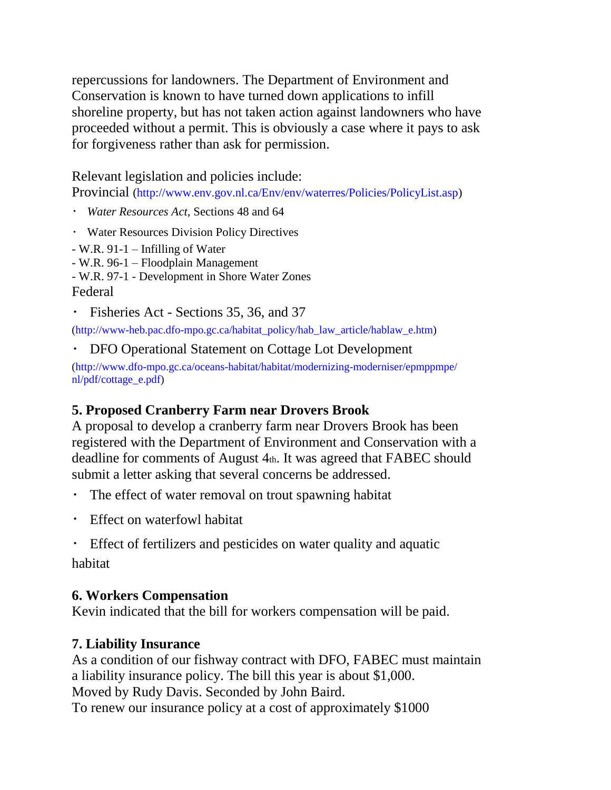repercussions for landowners. The Department of Environment and Conservation is known to have turned down applications to infill shoreline property, but has not taken action against landowners who have proceeded without a permit. This is obviously a case where it pays to ask for forgiveness rather than ask for permission.

Relevant legislation and policies include:

Provincial (http://www.env.gov.nl.ca/Env/env/waterres/Policies/PolicyList.asp)

- *Water Resources Act,* Sections 48 and 64
- Water Resources Division Policy Directives
- W.R. 91-1 Infilling of Water
- W.R. 96-1 Floodplain Management
- W.R. 97-1 Development in Shore Water Zones Federal
- Fisheries Act Sections 35, 36, and 37

(http://www-heb.pac.dfo-mpo.gc.ca/habitat\_policy/hab\_law\_article/hablaw\_e.htm)

DFO Operational Statement on Cottage Lot Development

(http://www.dfo-mpo.gc.ca/oceans-habitat/habitat/modernizing-moderniser/epmppmpe/ nl/pdf/cottage\_e.pdf)

# **5. Proposed Cranberry Farm near Drovers Brook**

A proposal to develop a cranberry farm near Drovers Brook has been registered with the Department of Environment and Conservation with a deadline for comments of August 4th. It was agreed that FABEC should submit a letter asking that several concerns be addressed.

- The effect of water removal on trout spawning habitat
- Effect on waterfowl habitat
- Effect of fertilizers and pesticides on water quality and aquatic habitat

# **6. Workers Compensation**

Kevin indicated that the bill for workers compensation will be paid.

# **7. Liability Insurance**

As a condition of our fishway contract with DFO, FABEC must maintain a liability insurance policy. The bill this year is about \$1,000. Moved by Rudy Davis. Seconded by John Baird. To renew our insurance policy at a cost of approximately \$1000